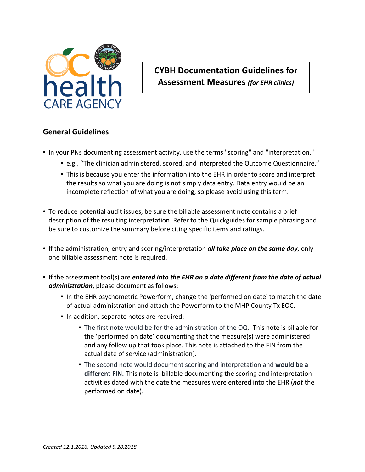

## **CYBH Documentation Guidelines for Assessment Measures** *(for EHR clinics)*

## **General Guidelines**

- In your PNs documenting assessment activity, use the terms "scoring" and "interpretation."
	- e.g., "The clinician administered, scored, and interpreted the Outcome Questionnaire."
	- This is because you enter the information into the EHR in order to score and interpret the results so what you are doing is not simply data entry. Data entry would be an incomplete reflection of what you are doing, so please avoid using this term.
- To reduce potential audit issues, be sure the billable assessment note contains a brief description of the resulting interpretation. Refer to the Quickguides for sample phrasing and be sure to customize the summary before citing specific items and ratings.
- If the administration, entry and scoring/interpretation *all take place on the same day*, only one billable assessment note is required.
- If the assessment tool(s) are *entered into the EHR on a date different from the date of actual administration*, please document as follows:
	- In the EHR psychometric Powerform, change the 'performed on date' to match the date of actual administration and attach the Powerform to the MHP County Tx EOC.
	- In addition, separate notes are required:
		- The first note would be for the administration of the OQ. This note is billable for the 'performed on date' documenting that the measure(s) were administered and any follow up that took place. This note is attached to the FIN from the actual date of service (administration).
		- The second note would document scoring and interpretation and **would be a different FIN.** This note is billable documenting the scoring and interpretation activities dated with the date the measures were entered into the EHR (*not* the performed on date).